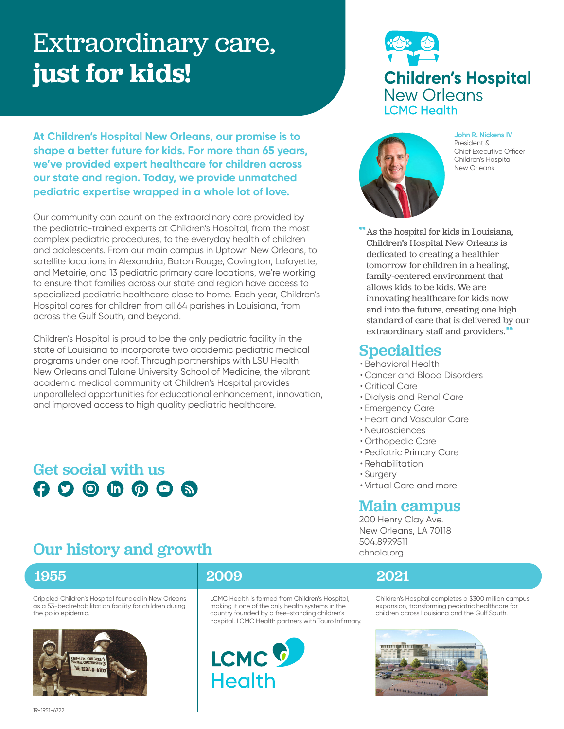# Extraordinary care, **just for kids!**

**At Children's Hospital New Orleans, our promise is to shape a better future for kids. For more than 65 years, we've provided expert healthcare for children across our state and region. Today, we provide unmatched pediatric expertise wrapped in a whole lot of love.** 

Our community can count on the extraordinary care provided by the pediatric-trained experts at Children's Hospital, from the most complex pediatric procedures, to the everyday health of children and adolescents. From our main campus in Uptown New Orleans, to satellite locations in Alexandria, Baton Rouge, Covington, Lafayette, and Metairie, and 13 pediatric primary care locations, we're working to ensure that families across our state and region have access to specialized pediatric healthcare close to home. Each year, Children's Hospital cares for children from all 64 parishes in Louisiana, from across the Gulf South, and beyond.

Children's Hospital is proud to be the only pediatric facility in the state of Louisiana to incorporate two academic pediatric medical programs under one roof. Through partnerships with LSU Health New Orleans and Tulane University School of Medicine, the vibrant academic medical community at Children's Hospital provides unparalleled opportunities for educational enhancement, innovation, and improved access to high quality pediatric healthcare.

# Get social with us $000000$

# **Children's Hospital New Orleans ICMC Health**



**John R. Nickens IV**  President & Chief Executive Officer Children's Hospital New Orleans

As the hospital for kids in Louisiana, Children's Hospital New Orleans is dedicated to creating a healthier tomorrow for children in a healing, family-centered environment that allows kids to be kids. We are innovating healthcare for kids now and into the future, creating one high standard of care that is delivered by our extraordinary staff and providers.

#### Specialties

- Behavioral Health
- Cancer and Blood Disorders
- Critical Care
- Dialysis and Renal Care
- Emergency Care
- Heart and Vascular Care
- Neurosciences
- Orthopedic Care
- Pediatric Primary Care
- Rehabilitation
- Surgery
- Virtual Care and more

#### Main campus

200 Henry Clay Ave. New Orleans, LA 70118 504.899.9511 chnola.org

# Our history and growth

Crippled Children's Hospital founded in New Orleans as a 53-bed rehabilitation facility for children during the polio epidemic.



### 1955 2009 2021

LCMC Health is formed from Children's Hospital, making it one of the only health systems in the country founded by a free-standing children's hospital. LCMC Health partners with Touro Infirmary.



Children's Hospital completes a \$300 million campus expansion, transforming pediatric healthcare for children across Louisiana and the Gulf South.